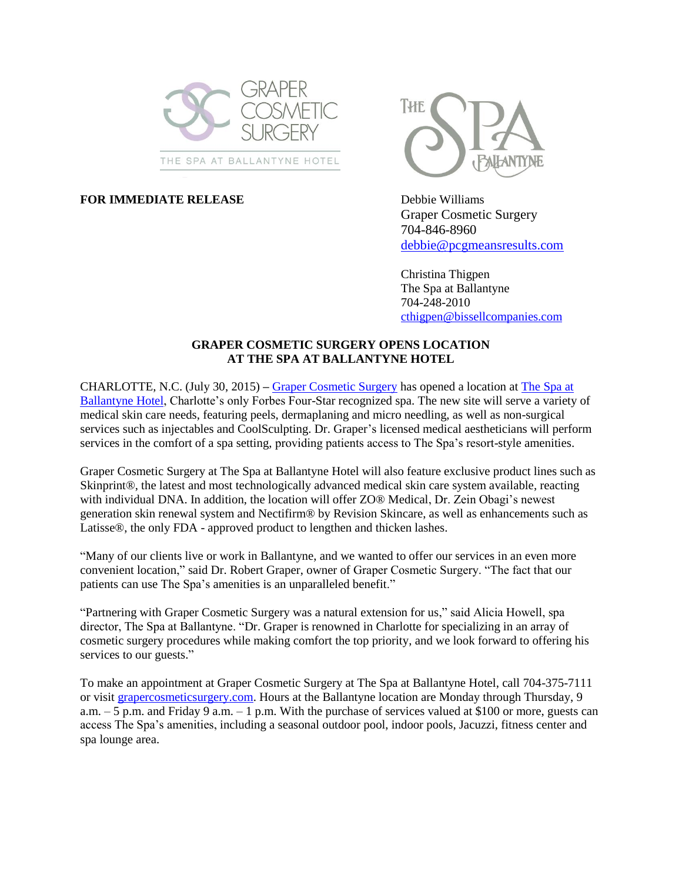

## **FOR IMMEDIATE RELEASE** Debbie Williams



Graper Cosmetic Surgery 704-846-8960 [debbie@pcgmeansresults.com](mailto:debbie@pcgmeansresults.com)

Christina Thigpen The Spa at Ballantyne 704-248-2010 [cthigpen@bissellcompanies.com](mailto:cthigpen@bissellcompanies.com)

## **GRAPER COSMETIC SURGERY OPENS LOCATION AT THE SPA AT BALLANTYNE HOTEL**

CHARLOTTE, N.C. (July 30, 2015) **–** [Graper Cosmetic Surgery](http://www.grapercosmeticsurgery.com/) has opened a location at The [Spa at](http://www.spaballantyne.com/)  [Ballantyne](http://www.spaballantyne.com/) Hotel, Charlotte's only Forbes Four-Star recognized spa. The new site will serve a variety of medical skin care needs, featuring peels, dermaplaning and micro needling, as well as non-surgical services such as injectables and CoolSculpting. Dr. Graper's licensed medical aestheticians will perform services in the comfort of a spa setting, providing patients access to The Spa's resort-style amenities.

Graper Cosmetic Surgery at The Spa at Ballantyne Hotel will also feature exclusive product lines such as Skinprint®, the latest and most technologically advanced medical skin care system available, reacting with individual DNA. In addition, the location will offer ZO® Medical, Dr. Zein Obagi's newest generation skin renewal system and Nectifirm® by Revision Skincare, as well as enhancements such as Latisse®, the only FDA - approved product to lengthen and thicken lashes.

"Many of our clients live or work in Ballantyne, and we wanted to offer our services in an even more convenient location," said Dr. Robert Graper, owner of Graper Cosmetic Surgery. "The fact that our patients can use The Spa's amenities is an unparalleled benefit."

"Partnering with Graper Cosmetic Surgery was a natural extension for us," said Alicia Howell, spa director, The Spa at Ballantyne. "Dr. Graper is renowned in Charlotte for specializing in an array of cosmetic surgery procedures while making comfort the top priority, and we look forward to offering his services to our guests."

To make an appointment at Graper Cosmetic Surgery at The Spa at Ballantyne Hotel, call 704-375-7111 or visit [grapercosmeticsurgery.com.](http://www.grapercosmeticsurgery.com/) Hours at the Ballantyne location are Monday through Thursday, 9 a.m.  $-5$  p.m. and Friday 9 a.m.  $-1$  p.m. With the purchase of services valued at \$100 or more, guests can access The Spa's amenities, including a seasonal outdoor pool, indoor pools, Jacuzzi, fitness center and spa lounge area.